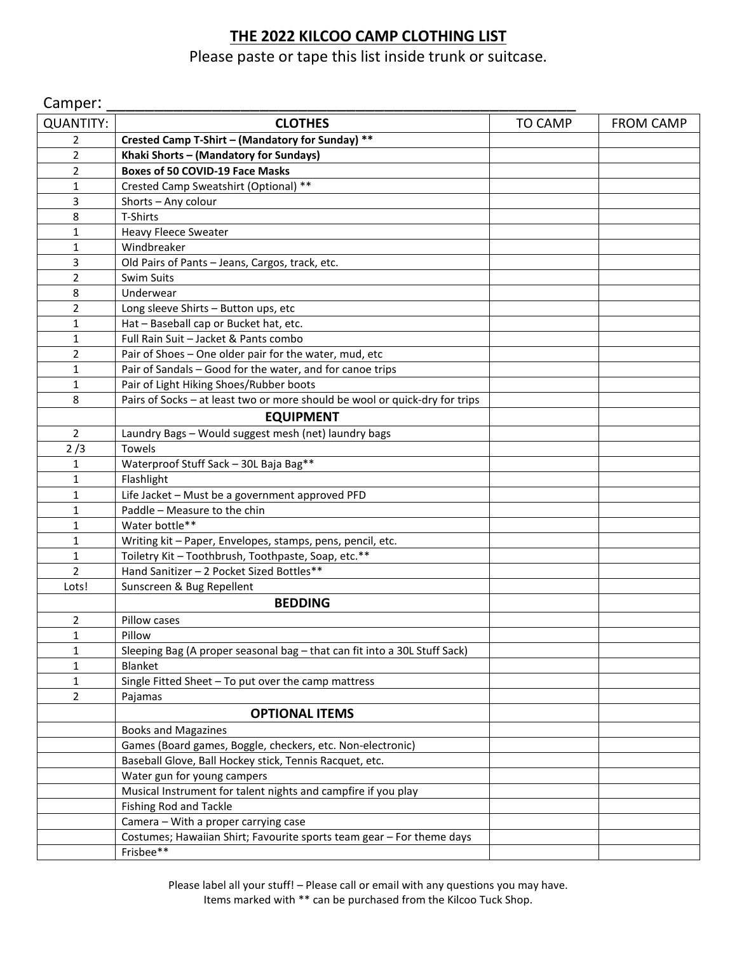## **THE 2022 KILCOO CAMP CLOTHING LIST**

Please paste or tape this list inside trunk or suitcase.

| Camper:          |                                                                             |                |                  |
|------------------|-----------------------------------------------------------------------------|----------------|------------------|
| <b>QUANTITY:</b> | <b>CLOTHES</b>                                                              | <b>TO CAMP</b> | <b>FROM CAMP</b> |
| 2                | Crested Camp T-Shirt - (Mandatory for Sunday) **                            |                |                  |
| 2                | Khaki Shorts - (Mandatory for Sundays)                                      |                |                  |
| $\overline{2}$   | <b>Boxes of 50 COVID-19 Face Masks</b>                                      |                |                  |
| 1                | Crested Camp Sweatshirt (Optional) **                                       |                |                  |
| 3                | Shorts - Any colour                                                         |                |                  |
| 8                | T-Shirts                                                                    |                |                  |
| 1                | <b>Heavy Fleece Sweater</b>                                                 |                |                  |
| 1                | Windbreaker                                                                 |                |                  |
| 3                | Old Pairs of Pants - Jeans, Cargos, track, etc.                             |                |                  |
| 2                | Swim Suits                                                                  |                |                  |
| 8                | Underwear                                                                   |                |                  |
| 2                | Long sleeve Shirts - Button ups, etc                                        |                |                  |
| 1                | Hat - Baseball cap or Bucket hat, etc.                                      |                |                  |
| 1                | Full Rain Suit - Jacket & Pants combo                                       |                |                  |
| 2                | Pair of Shoes - One older pair for the water, mud, etc                      |                |                  |
| 1                | Pair of Sandals - Good for the water, and for canoe trips                   |                |                  |
| $\mathbf{1}$     | Pair of Light Hiking Shoes/Rubber boots                                     |                |                  |
| 8                | Pairs of Socks - at least two or more should be wool or quick-dry for trips |                |                  |
|                  | <b>EQUIPMENT</b>                                                            |                |                  |
| $\overline{2}$   | Laundry Bags - Would suggest mesh (net) laundry bags                        |                |                  |
| 2/3              | Towels                                                                      |                |                  |
| 1                | Waterproof Stuff Sack - 30L Baja Bag**                                      |                |                  |
| 1                | Flashlight                                                                  |                |                  |
| 1                | Life Jacket - Must be a government approved PFD                             |                |                  |
| 1                | Paddle - Measure to the chin                                                |                |                  |
| 1                | Water bottle**                                                              |                |                  |
| 1                | Writing kit - Paper, Envelopes, stamps, pens, pencil, etc.                  |                |                  |
| 1                | Toiletry Kit - Toothbrush, Toothpaste, Soap, etc.**                         |                |                  |
| 2                | Hand Sanitizer - 2 Pocket Sized Bottles**                                   |                |                  |
| Lots!            | Sunscreen & Bug Repellent                                                   |                |                  |
|                  | <b>BEDDING</b>                                                              |                |                  |
| 2                | Pillow cases                                                                |                |                  |
| $\mathbf{1}$     | Pillow                                                                      |                |                  |
| 1                | Sleeping Bag (A proper seasonal bag - that can fit into a 30L Stuff Sack)   |                |                  |
| 1                | Blanket                                                                     |                |                  |
| 1                | Single Fitted Sheet - To put over the camp mattress                         |                |                  |
| 2                | Pajamas                                                                     |                |                  |
|                  | <b>OPTIONAL ITEMS</b>                                                       |                |                  |
|                  | <b>Books and Magazines</b>                                                  |                |                  |
|                  | Games (Board games, Boggle, checkers, etc. Non-electronic)                  |                |                  |
|                  | Baseball Glove, Ball Hockey stick, Tennis Racquet, etc.                     |                |                  |
|                  | Water gun for young campers                                                 |                |                  |
|                  | Musical Instrument for talent nights and campfire if you play               |                |                  |
|                  | <b>Fishing Rod and Tackle</b>                                               |                |                  |
|                  | Camera - With a proper carrying case                                        |                |                  |
|                  | Costumes; Hawaiian Shirt; Favourite sports team gear - For theme days       |                |                  |
|                  | Frisbee**                                                                   |                |                  |

Please label all your stuff! – Please call or email with any questions you may have. Items marked with \*\* can be purchased from the Kilcoo Tuck Shop.